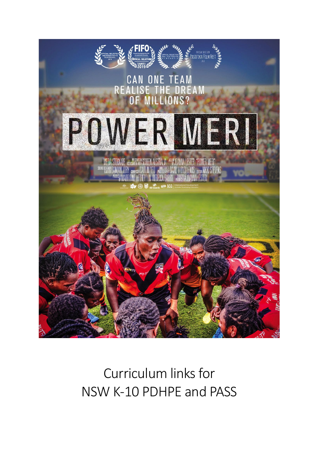

## Curriculum links for NSW K-10 PDHPE and PASS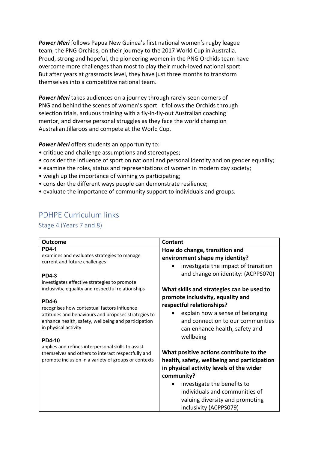*Power Meri* follows Papua New Guinea's first national women's rugby league team, the PNG Orchids, on their journey to the 2017 World Cup in Australia. Proud, strong and hopeful, the pioneering women in the PNG Orchids team have overcome more challenges than most to play their much-loved national sport. But after years at grassroots level, they have just three months to transform themselves into a competitive national team.

*Power Meri* takes audiences on a journey through rarely-seen corners of PNG and behind the scenes of women's sport. It follows the Orchids through selection trials, arduous training with a fly-in-fly-out Australian coaching mentor, and diverse personal struggles as they face the world champion Australian Jillaroos and compete at the World Cup.

*Power Meri* offers students an opportunity to:

- critique and challenge assumptions and stereotypes;
- consider the influence of sport on national and personal identity and on gender equality;
- examine the roles, status and representations of women in modern day society;
- weigh up the importance of winning vs participating;
- consider the different ways people can demonstrate resilience;
- evaluate the importance of community support to individuals and groups.

## PDHPE Curriculum links

Stage 4 (Years 7 and 8)

| Outcome                                                                                                  | Content                                           |
|----------------------------------------------------------------------------------------------------------|---------------------------------------------------|
| <b>PD4-1</b>                                                                                             | How do change, transition and                     |
| examines and evaluates strategies to manage                                                              | environment shape my identity?                    |
| current and future challenges                                                                            | investigate the impact of transition<br>$\bullet$ |
| <b>PD4-3</b>                                                                                             | and change on identity: (ACPPS070)                |
| investigates effective strategies to promote                                                             |                                                   |
| inclusivity, equality and respectful relationships                                                       | What skills and strategies can be used to         |
|                                                                                                          | promote inclusivity, equality and                 |
| <b>PD4-6</b>                                                                                             | respectful relationships?                         |
| recognises how contextual factors influence<br>attitudes and behaviours and proposes strategies to       | explain how a sense of belonging                  |
| enhance health, safety, wellbeing and participation                                                      | and connection to our communities                 |
| in physical activity                                                                                     | can enhance health, safety and                    |
|                                                                                                          | wellbeing                                         |
| <b>PD4-10</b>                                                                                            |                                                   |
| applies and refines interpersonal skills to assist<br>themselves and others to interact respectfully and | What positive actions contribute to the           |
| promote inclusion in a variety of groups or contexts                                                     | health, safety, wellbeing and participation       |
|                                                                                                          | in physical activity levels of the wider          |
|                                                                                                          | community?                                        |
|                                                                                                          | investigate the benefits to                       |
|                                                                                                          | individuals and communities of                    |
|                                                                                                          | valuing diversity and promoting                   |
|                                                                                                          | inclusivity (ACPPS079)                            |
|                                                                                                          |                                                   |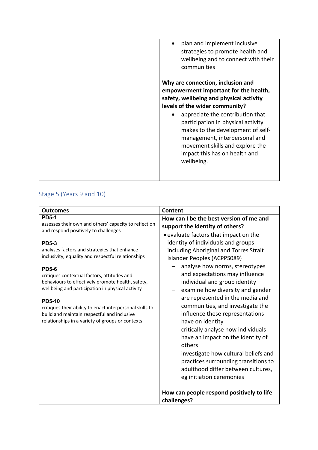| plan and implement inclusive<br>strategies to promote health and<br>wellbeing and to connect with their<br>communities<br>Why are connection, inclusion and<br>empowerment important for the health,<br>safety, wellbeing and physical activity<br>levels of the wider community?<br>appreciate the contribution that<br>$\bullet$ |
|------------------------------------------------------------------------------------------------------------------------------------------------------------------------------------------------------------------------------------------------------------------------------------------------------------------------------------|
| participation in physical activity<br>makes to the development of self-<br>management, interpersonal and<br>movement skills and explore the<br>impact this has on health and<br>wellbeing.                                                                                                                                         |

## Stage 5 (Years 9 and 10)

| <b>Outcomes</b>                                                                                                                                                                                                                                                                                                                                                                                                                                                                                                                                                                             | Content                                                                                                                                                                                                                                                                                                                                                                                                                                                                                                                                                                                         |
|---------------------------------------------------------------------------------------------------------------------------------------------------------------------------------------------------------------------------------------------------------------------------------------------------------------------------------------------------------------------------------------------------------------------------------------------------------------------------------------------------------------------------------------------------------------------------------------------|-------------------------------------------------------------------------------------------------------------------------------------------------------------------------------------------------------------------------------------------------------------------------------------------------------------------------------------------------------------------------------------------------------------------------------------------------------------------------------------------------------------------------------------------------------------------------------------------------|
| <b>PD5-1</b><br>assesses their own and others' capacity to reflect on<br>and respond positively to challenges<br><b>PD5-3</b><br>analyses factors and strategies that enhance<br>inclusivity, equality and respectful relationships<br><b>PD5-6</b><br>critiques contextual factors, attitudes and<br>behaviours to effectively promote health, safety,<br>wellbeing and participation in physical activity<br><b>PD5-10</b><br>critiques their ability to enact interpersonal skills to<br>build and maintain respectful and inclusive<br>relationships in a variety of groups or contexts | How can I be the best version of me and<br>support the identity of others?<br>• evaluate factors that impact on the<br>identity of individuals and groups<br>including Aboriginal and Torres Strait<br>Islander Peoples (ACPPS089)<br>analyse how norms, stereotypes<br>and expectations may influence<br>individual and group identity<br>examine how diversity and gender<br>are represented in the media and<br>communities, and investigate the<br>influence these representations<br>have on identity<br>critically analyse how individuals<br>have an impact on the identity of<br>others |
|                                                                                                                                                                                                                                                                                                                                                                                                                                                                                                                                                                                             | investigate how cultural beliefs and<br>practices surrounding transitions to<br>adulthood differ between cultures,<br>eg initiation ceremonies                                                                                                                                                                                                                                                                                                                                                                                                                                                  |
|                                                                                                                                                                                                                                                                                                                                                                                                                                                                                                                                                                                             | How can people respond positively to life<br>challenges?                                                                                                                                                                                                                                                                                                                                                                                                                                                                                                                                        |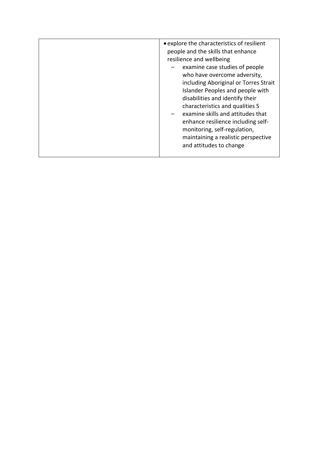| • explore the characteristics of resilient<br>people and the skills that enhance<br>resilience and wellbeing<br>examine case studies of people<br>who have overcome adversity,<br>including Aboriginal or Torres Strait<br>Islander Peoples and people with<br>disabilities and identify their<br>characteristics and qualities S<br>examine skills and attitudes that<br>enhance resilience including self-<br>monitoring, self-regulation,<br>maintaining a realistic perspective<br>and attitudes to change |
|----------------------------------------------------------------------------------------------------------------------------------------------------------------------------------------------------------------------------------------------------------------------------------------------------------------------------------------------------------------------------------------------------------------------------------------------------------------------------------------------------------------|
|                                                                                                                                                                                                                                                                                                                                                                                                                                                                                                                |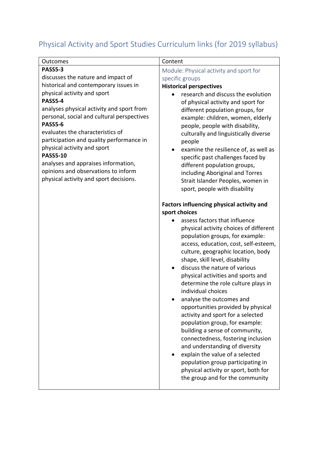## Physical Activity and Sport Studies Curriculum links (for 2019 syllabus)

| Outcomes                                                                                                                                                                                                                                                                                                                                                                                                                                                                                                | Content                                                                                                                                                                                                                                                                                                                                                                                                                                                                                                                                                                                                                                                                                                                                                                                                                                                                                                                                                                                                                                                                                                                                  |
|---------------------------------------------------------------------------------------------------------------------------------------------------------------------------------------------------------------------------------------------------------------------------------------------------------------------------------------------------------------------------------------------------------------------------------------------------------------------------------------------------------|------------------------------------------------------------------------------------------------------------------------------------------------------------------------------------------------------------------------------------------------------------------------------------------------------------------------------------------------------------------------------------------------------------------------------------------------------------------------------------------------------------------------------------------------------------------------------------------------------------------------------------------------------------------------------------------------------------------------------------------------------------------------------------------------------------------------------------------------------------------------------------------------------------------------------------------------------------------------------------------------------------------------------------------------------------------------------------------------------------------------------------------|
| <b>PASS5-3</b><br>discusses the nature and impact of<br>historical and contemporary issues in<br>physical activity and sport<br>PASS5-4<br>analyses physical activity and sport from<br>personal, social and cultural perspectives<br>PASS5-6<br>evaluates the characteristics of<br>participation and quality performance in<br>physical activity and sport<br><b>PASS5-10</b><br>analyses and appraises information,<br>opinions and observations to inform<br>physical activity and sport decisions. | Module: Physical activity and sport for<br>specific groups<br><b>Historical perspectives</b><br>research and discuss the evolution<br>of physical activity and sport for<br>different population groups, for<br>example: children, women, elderly<br>people, people with disability,<br>culturally and linguistically diverse<br>people<br>examine the resilience of, as well as<br>specific past challenges faced by<br>different population groups,<br>including Aboriginal and Torres<br>Strait Islander Peoples, women in<br>sport, people with disability<br>Factors influencing physical activity and<br>sport choices<br>assess factors that influence<br>physical activity choices of different<br>population groups, for example:<br>access, education, cost, self-esteem,<br>culture, geographic location, body<br>shape, skill level, disability<br>discuss the nature of various<br>physical activities and sports and<br>determine the role culture plays in<br>individual choices<br>analyse the outcomes and<br>opportunities provided by physical<br>activity and sport for a selected<br>population group, for example: |